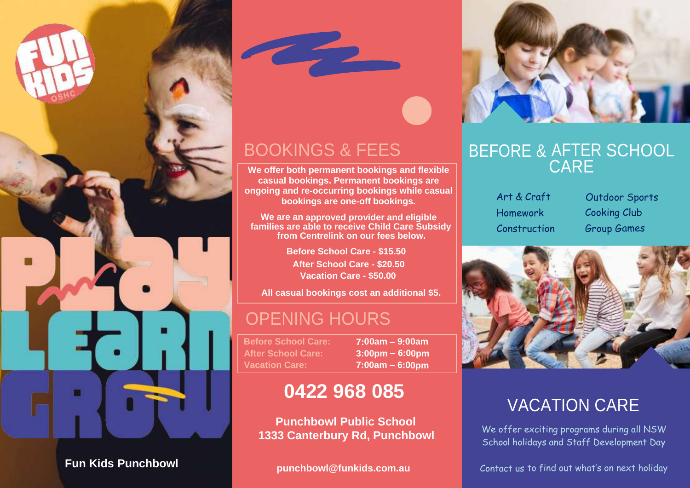

**punchbowl@funkids.com.au Fun Kids Punchbowl**



## BOOKINGS & FEES

**Contract** 

**We offer both permanent bookings and flexible casual bookings. Permanent bookings are ongoing and re-occurring bookings while casual bookings are one-off bookings.**

**approved provider and eligible We are from Centrelink on our fees below. families are able to receive Child Care Subsidy an**

> **Before School Care - \$15.50 After School Care - \$20.50 Vacation Care - \$50.00**

**All casual bookings cost an additional \$5.**

#### OPENING HOURS

**Before School Care: 7:00am – 9:00am After School Care: 3:00pm – 6:00pm Vacation Care: 7:00am – 6:00pm**

#### **0422 968 085**

**Punchbowl Public School 1333 Canterbury Rd, Punchbowl**

#### AFTER SCHOOL CARE BEFORE &

Homework Cooking Club

Art & Craft Outdoor Sports Construction Group Games



## VACATION CARE

We offer exciting programs during all NSW School holidays and Staff Development Day

Contact us to find out what's on next holiday